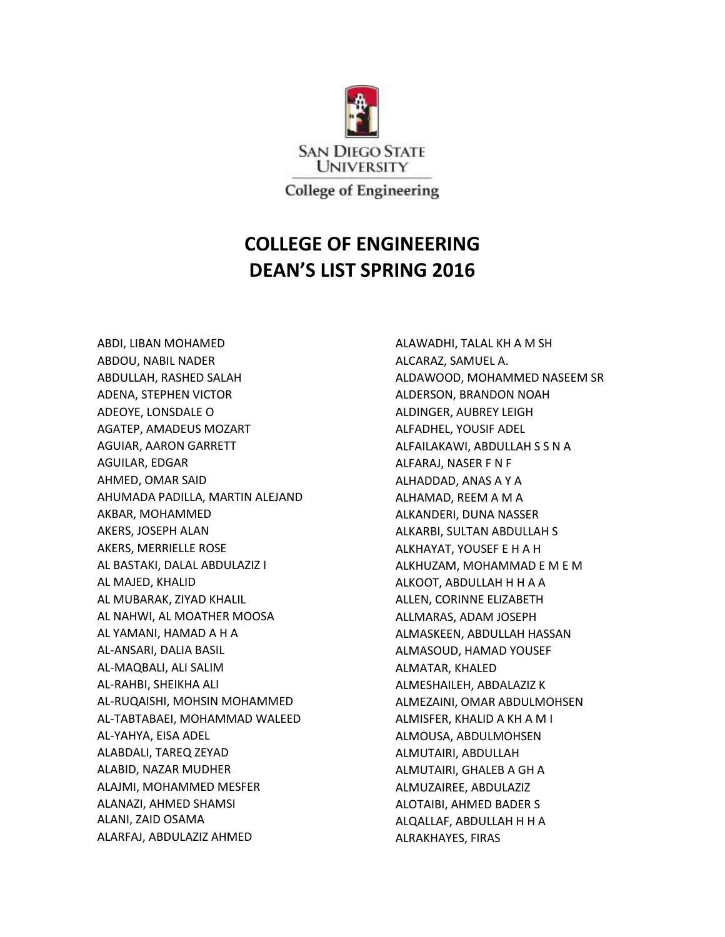

## **COLLEGE OF ENGINEERING DEAN'S LIST SPRING 2016**

ABDI, LIBAN MOHAMED ABDOU, NABIL NADER ABDULLAH, RASHED SALAH ADENA, STEPHEN VICTOR ADEOYE, LONSDALE O AGATEP, AMADEUS MOZART AGUIAR, AARON GARRETT AGUILAR, EDGAR AHMED, OMAR SAID AHUMADA PADILLA, MARTIN ALEJAND AKBAR, MOHAMMED AKERS, JOSEPH ALAN AKERS, MERRIELLE ROSE AL BASTAKI, DALAL ABDULAZIZ I AL MAJED, KHALID AL MUBARAK, ZIYAD KHALIL AL NAHWI, AL MOATHER MOOSA AL YAMANI, HAMAD A H A AL-ANSARI, DALIA BASIL AL-MAQBALI, ALI SALIM AL-RAHBI, SHEIKHA ALI AL-RUQAISHI, MOHSIN MOHAMMED AL-TABTABAEI, MOHAMMAD WALEED AL-YAHYA, EISA ADEL ALABDALI, TAREQ ZEYAD ALABID, NAZAR MUDHER ALAJMI, MOHAMMED MESFER ALANAZI, AHMED SHAMSI ALANI, ZAID OSAMA ALARFAJ, ABDULAZIZ AHMED

ALAWADHI, TALAL KH A M SH ALCARAZ, SAMUEL A. ALDAWOOD, MOHAMMED NASEEM SR ALDERSON, BRANDON NOAH ALDINGER, AUBREY LEIGH ALFADHEL, YOUSIF ADEL ALFAILAKAWI, ABDULLAH S S N A ALFARAJ, NASER F N F ALHADDAD, ANAS A Y A ALHAMAD, REEM A M A ALKANDERI, DUNA NASSER ALKARBI, SULTAN ABDULLAH S ALKHAYAT, YOUSEF E H A H ALKHUZAM, MOHAMMAD E M E M ALKOOT, ABDULLAH H H A A ALLEN, CORINNE ELIZABETH ALLMARAS, ADAM JOSEPH ALMASKEEN, ABDULLAH HASSAN ALMASOUD, HAMAD YOUSEF ALMATAR, KHALED ALMESHAILEH, ABDALAZIZ K ALMEZAINI, OMAR ABDULMOHSEN ALMISFER, KHALID A KH A M I ALMOUSA, ABDULMOHSEN ALMUTAIRI, ABDULLAH ALMUTAIRI, GHALEB A GH A ALMUZAIREE, ABDULAZIZ ALOTAIBI, AHMED BADER S ALQALLAF, ABDULLAH H H A ALRAKHAYES, FIRAS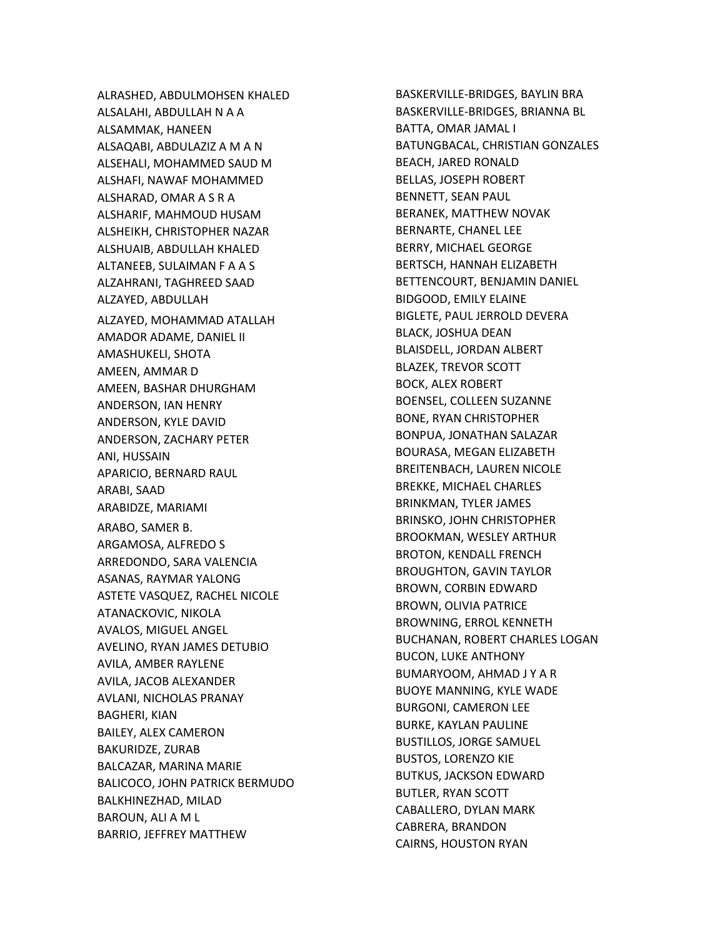ALRASHED, ABDULMOHSEN KHALED ALSALAHI, ABDULLAH N A A ALSAMMAK, HANEEN ALSAQABI, ABDULAZIZ A M A N ALSEHALI, MOHAMMED SAUD M ALSHAFI, NAWAF MOHAMMED ALSHARAD, OMAR A S R A ALSHARIF, MAHMOUD HUSAM ALSHEIKH, CHRISTOPHER NAZAR ALSHUAIB, ABDULLAH KHALED ALTANEEB, SULAIMAN F A A S ALZAHRANI, TAGHREED SAAD ALZAYED, ABDULLAH ALZAYED, MOHAMMAD ATALLAH AMADOR ADAME, DANIEL II AMASHUKELI, SHOTA AMEEN, AMMAR D AMEEN, BASHAR DHURGHAM ANDERSON, IAN HENRY ANDERSON, KYLE DAVID ANDERSON, ZACHARY PETER ANI, HUSSAIN APARICIO, BERNARD RAUL ARABI, SAAD ARABIDZE, MARIAMI ARABO, SAMER B. ARGAMOSA, ALFREDO S ARREDONDO, SARA VALENCIA ASANAS, RAYMAR YALONG ASTETE VASQUEZ, RACHEL NICOLE ATANACKOVIC, NIKOLA AVALOS, MIGUEL ANGEL AVELINO, RYAN JAMES DETUBIO AVILA, AMBER RAYLENE AVILA, JACOB ALEXANDER AVLANI, NICHOLAS PRANAY BAGHERI, KIAN BAILEY, ALEX CAMERON BAKURIDZE, ZURAB BALCAZAR, MARINA MARIE BALICOCO, JOHN PATRICK BERMUDO BALKHINEZHAD, MILAD BAROUN, ALI A M L BARRIO, JEFFREY MATTHEW

BASKERVILLE -BRIDGES, BAYLIN BRA BASKERVILLE -BRIDGES, BRIANNA BL BATTA, OMAR JAMAL I BATUNGBACAL, CHRISTIAN GONZALES BEACH, JARED RONALD BELLAS, JOSEPH ROBERT BENNETT, SEAN PAUL BERANEK, MATTHEW NOVAK BERNARTE, CHANEL LEE BERRY, MICHAEL GEORGE BERTSCH, HANNAH ELIZABETH BETTENCOURT, BENJAMIN DANIEL BIDGOOD, EMILY ELAINE BIGLETE, PAUL JERROLD DEVERA BLACK, JOSHUA DEAN BLAISDELL, JORDAN ALBERT BLAZEK, TREVOR SCOTT BOCK, ALEX ROBERT BOENSEL, COLLEEN SUZANNE BONE, RYAN CHRISTOPHER BONPUA, JONATHAN SALAZAR BOURASA, MEGAN ELIZABETH BREITENBACH, LAUREN NICOLE BREKKE, MICHAEL CHARLES BRINKMAN, TYLER JAMES BRINSKO, JOHN CHRISTOPHER BROOKMAN, WESLEY ARTHUR BROTON, KENDALL FRENCH BROUGHTON, GAVIN TAYLOR BROWN, CORBIN EDWARD BROWN, OLIVIA PATRICE BROWNING, ERROL KENNETH BUCHANAN, ROBERT CHARLES LOGAN BUCON, LUKE ANTHONY BUMARYOOM, AHMAD J Y A R BUOYE MANNING, KYLE WADE BURGONI, CAMERON LEE BURKE, KAYLAN PAULINE BUSTILLOS, JORGE SAMUEL BUSTOS, LORENZO KIE BUTKUS, JACKSON EDWARD BUTLER, RYAN SCOTT CABALLERO, DYLAN MARK CABRERA, BRANDON CAIRNS, HOUSTON RYAN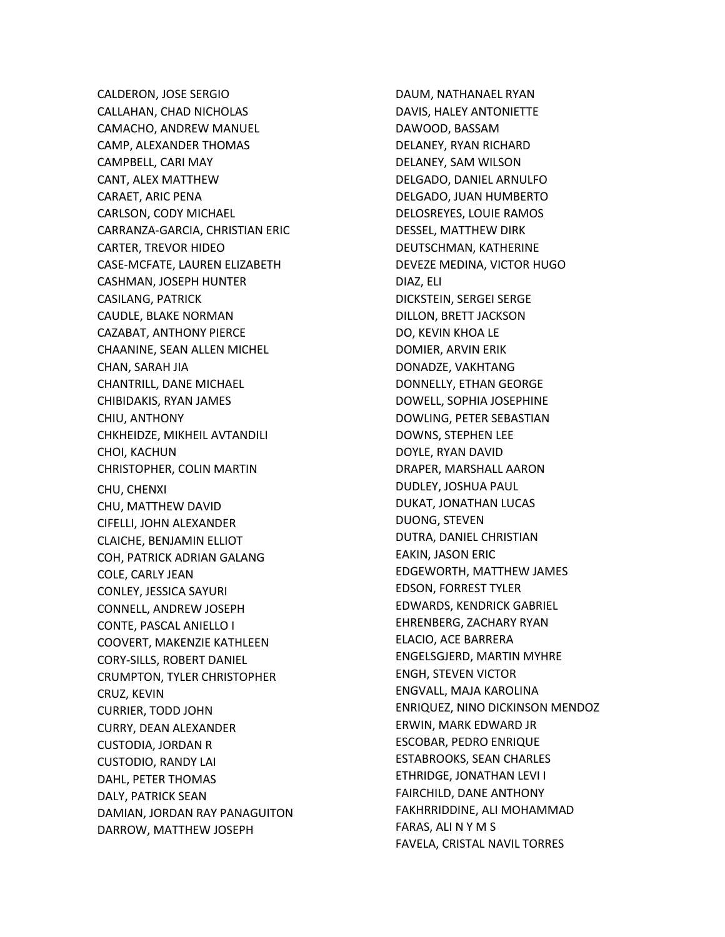CALDERON, JOSE SERGIO CALLAHAN, CHAD NICHOLAS CAMACHO, ANDREW MANUEL CAMP, ALEXANDER THOMAS CAMPBELL, CARI MAY CANT, ALEX MATTHEW CARAET, ARIC PENA CARLSON, CODY MICHAEL CARRANZA-GARCIA, CHRISTIAN ERIC CARTER, TREVOR HIDEO CASE-MCFATE, LAUREN ELIZABETH CASHMAN, JOSEPH HUNTER CASILANG, PATRICK CAUDLE, BLAKE NORMAN CAZABAT, ANTHONY PIERCE CHAANINE, SEAN ALLEN MICHEL CHAN, SARAH JIA CHANTRILL, DANE MICHAEL CHIBIDAKIS, RYAN JAMES CHIU, ANTHONY CHKHEIDZE, MIKHEIL AVTANDILI CHOI, KACHUN CHRISTOPHER, COLIN MARTIN CHU, CHENXI CHU, MATTHEW DAVID CIFELLI, JOHN ALEXANDER CLAICHE, BENJAMIN ELLIOT COH, PATRICK ADRIAN GALANG COLE, CARLY JEAN CONLEY, JESSICA SAYURI CONNELL, ANDREW JOSEPH CONTE, PASCAL ANIELLO I COOVERT, MAKENZIE KATHLEEN CORY-SILLS, ROBERT DANIEL CRUMPTON, TYLER CHRISTOPHER CRUZ, KEVIN CURRIER, TODD JOHN CURRY, DEAN ALEXANDER CUSTODIA, JORDAN R CUSTODIO, RANDY LAI DAHL, PETER THOMAS DALY, PATRICK SEAN DAMIAN, JORDAN RAY PANAGUITON DARROW, MATTHEW JOSEPH

DAUM, NATHANAEL RYAN DAVIS, HALEY ANTONIETTE DAWOOD, BASSAM DELANEY, RYAN RICHARD DELANEY, SAM WILSON DELGADO, DANIEL ARNULFO DELGADO, JUAN HUMBERTO DELOSREYES, LOUIE RAMOS DESSEL, MATTHEW DIRK DEUTSCHMAN, KATHERINE DEVEZE MEDINA, VICTOR HUGO DIAZ, ELI DICKSTEIN, SERGEI SERGE DILLON, BRETT JACKSON DO, KEVIN KHOA LE DOMIER, ARVIN ERIK DONADZE, VAKHTANG DONNELLY, ETHAN GEORGE DOWELL, SOPHIA JOSEPHINE DOWLING, PETER SEBASTIAN DOWNS, STEPHEN LEE DOYLE, RYAN DAVID DRAPER, MARSHALL AARON DUDLEY, JOSHUA PAUL DUKAT, JONATHAN LUCAS DUONG, STEVEN DUTRA, DANIEL CHRISTIAN EAKIN, JASON ERIC EDGEWORTH, MATTHEW JAMES EDSON, FORREST TYLER EDWARDS, KENDRICK GABRIEL EHRENBERG, ZACHARY RYAN ELACIO, ACE BARRERA ENGELSGJERD, MARTIN MYHRE ENGH, STEVEN VICTOR ENGVALL, MAJA KAROLINA ENRIQUEZ, NINO DICKINSON MENDOZ ERWIN, MARK EDWARD JR ESCOBAR, PEDRO ENRIQUE ESTABROOKS, SEAN CHARLES ETHRIDGE, JONATHAN LEVI I FAIRCHILD, DANE ANTHONY FAKHRRIDDINE, ALI MOHAMMAD FARAS, ALI N Y M S FAVELA, CRISTAL NAVIL TORRES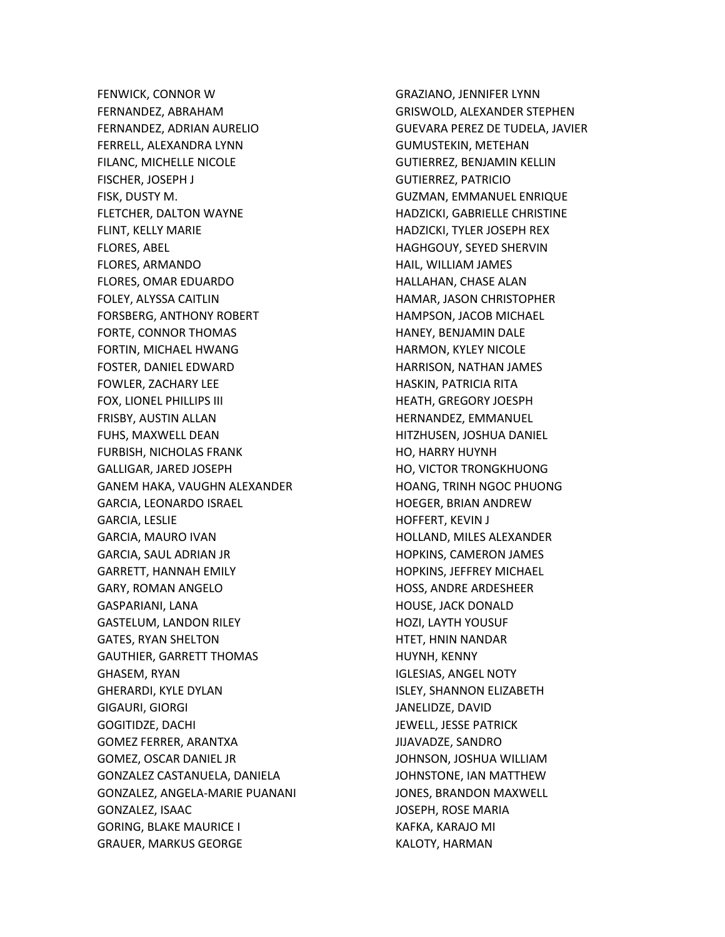FENWICK, CONNOR W FERNANDEZ, ABRAHAM FERNANDEZ, ADRIAN AURELIO FERRELL, ALEXANDRA LYNN FILANC, MICHELLE NICOLE FISCHER, JOSEPH J FISK, DUSTY M. FLETCHER, DALTON WAYNE FLINT, KELLY MARIE FLORES, ABEL FLORES, ARMANDO FLORES, OMAR EDUARDO FOLEY, ALYSSA CAITLIN FORSBERG, ANTHONY ROBERT FORTE, CONNOR THOMAS FORTIN, MICHAEL HWANG FOSTER, DANIEL EDWARD FOWLER, ZACHARY LEE FOX, LIONEL PHILLIPS III FRISBY, AUSTIN ALLAN FUHS, MAXWELL DEAN FURBISH, NICHOLAS FRANK GALLIGAR, JARED JOSEPH GANEM HAKA, VAUGHN ALEXANDER GARCIA, LEONARDO ISRAEL GARCIA, LESLIE GARCIA, MAURO IVAN GARCIA, SAUL ADRIAN JR GARRETT, HANNAH EMILY GARY, ROMAN ANGELO GASPARIANI, LANA GASTELUM, LANDON RILEY GATES, RYAN SHELTON GAUTHIER, GARRETT THOMAS GHASEM, RYAN GHERARDI, KYLE DYLAN GIGAURI, GIORGI GOGITIDZE, DACHI GOMEZ FERRER, ARANTXA GOMEZ, OSCAR DANIEL JR GONZALEZ CASTANUELA, DANIELA GONZALEZ, ANGELA-MARIE PUANANI GONZALEZ, ISAAC GORING, BLAKE MAURICE I GRAUER, MARKUS GEORGE

GRAZIANO, JENNIFER LYNN GRISWOLD, ALEXANDER STEPHEN GUEVARA PEREZ DE TUDELA, JAVIER GUMUSTEKIN, METEHAN GUTIERREZ, BENJAMIN KELLIN GUTIERREZ, PATRICIO GUZMAN, EMMANUEL ENRIQUE HADZICKI, GABRIELLE CHRISTINE HADZICKI, TYLER JOSEPH REX HAGHGOUY, SEYED SHERVIN HAIL, WILLIAM JAMES HALLAHAN, CHASE ALAN HAMAR, JASON CHRISTOPHER HAMPSON, JACOB MICHAEL HANEY, BENJAMIN DALE HARMON, KYLEY NICOLE HARRISON, NATHAN JAMES HASKIN, PATRICIA RITA HEATH, GREGORY JOESPH HERNANDEZ, EMMANUEL HITZHUSEN, JOSHUA DANIEL HO, HARRY HUYNH HO, VICTOR TRONGKHUONG HOANG, TRINH NGOC PHUONG HOEGER, BRIAN ANDREW HOFFERT, KEVIN J HOLLAND, MILES ALEXANDER HOPKINS, CAMERON JAMES HOPKINS, JEFFREY MICHAEL HOSS, ANDRE ARDESHEER HOUSE, JACK DONALD HOZI, LAYTH YOUSUF HTET, HNIN NANDAR HUYNH, KENNY IGLESIAS, ANGEL NOTY ISLEY, SHANNON ELIZABETH JANELIDZE, DAVID JEWELL, JESSE PATRICK JIJAVADZE, SANDRO JOHNSON, JOSHUA WILLIAM JOHNSTONE, IAN MATTHEW JONES, BRANDON MAXWELL JOSEPH, ROSE MARIA KAFKA, KARAJO MI KALOTY, HARMAN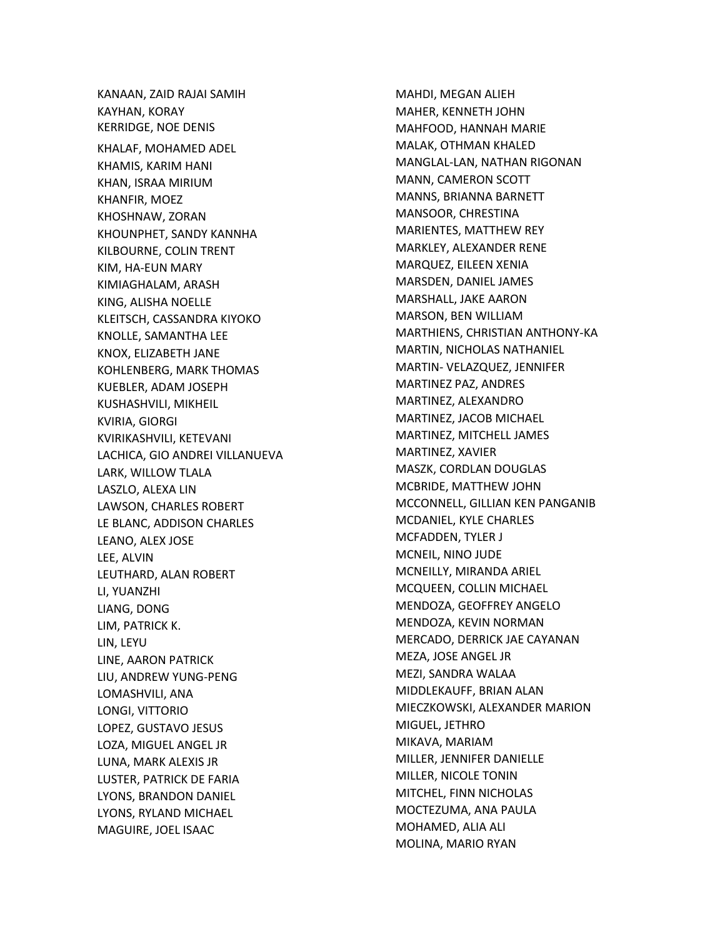KANAAN, ZAID RAJAI SAMIH KAYHAN, KORAY KERRIDGE, NOE DENIS KHALAF, MOHAMED ADEL KHAMIS, KARIM HANI KHAN, ISRAA MIRIUM KHANFIR, MOEZ KHOSHNAW, ZORAN KHOUNPHET, SANDY KANNHA KILBOURNE, COLIN TRENT KIM, HA -EUN MARY KIMIAGHALAM, ARASH KING, ALISHA NOELLE KLEITSCH, CASSANDRA KIYOKO KNOLLE, SAMANTHA LEE KNOX, ELIZABETH JANE KOHLENBERG, MARK THOMAS KUEBLER, ADAM JOSEPH KUSHASHVILI, MIKHEIL KVIRIA, GIORGI KVIRIKASHVILI, KETEVANI LACHICA, GIO ANDREI VILLANUEVA LARK, WILLOW TLALA LASZLO, ALEXA LIN LAWSON, CHARLES ROBERT LE BLANC, ADDISON CHARLES LEANO, ALEX JOSE LEE, ALVIN LEUTHARD, ALAN ROBERT LI, YUANZHI LIANG, DONG LIM, PATRICK K. LIN, LEYU LINE, AARON PATRICK LIU, ANDREW YUNG -PENG LOMASHVILI, ANA LONGI, VITTORIO LOPEZ, GUSTAVO JESUS LOZA, MIGUEL ANGEL JR LUNA, MARK ALEXIS JR LUSTER, PATRICK DE FARIA LYONS, BRANDON DANIEL LYONS, RYLAND MICHAEL MAGUIRE, JOEL ISAAC

MAHDI, MEGAN ALIEH MAHER, KENNETH JOHN MAHFOOD, HANNAH MARIE MALAK, OTHMAN KHALED MANGLAL -LAN, NATHAN RIGONAN MANN, CAMERON SCOTT MANNS, BRIANNA BARNETT MANSOOR, CHRESTINA MARIENTES, MATTHEW REY MARKLEY, ALEXANDER RENE MARQUEZ, EILEEN XENIA MARSDEN, DANIEL JAMES MARSHALL, JAKE AARON MARSON, BEN WILLIAM MARTHIENS, CHRISTIAN ANTHONY -KA MARTIN, NICHOLAS NATHANIEL MARTIN - VELAZQUEZ, JENNIFER MARTINEZ PAZ, ANDRES MARTINEZ, ALEXANDRO MARTINEZ, JACOB MICHAEL MARTINEZ, MITCHELL JAMES MARTINEZ, XAVIER MASZK, CORDLAN DOUGLAS MCBRIDE, MATTHEW JOHN MCCONNELL, GILLIAN KEN PANGANIB MCDANIEL, KYLE CHARLES MCFADDEN, TYLER J MCNEIL, NINO JUDE MCNEILLY, MIRANDA ARIEL MCQUEEN, COLLIN MICHAEL MENDOZA, GEOFFREY ANGELO MENDOZA, KEVIN NORMAN MERCADO, DERRICK JAE CAYANAN MEZA, JOSE ANGEL JR MEZI, SANDRA WALAA MIDDLEKAUFF, BRIAN ALAN MIECZKOWSKI, ALEXANDER MARION MIGUEL, JETHRO MIKAVA, MARIAM MILLER, JENNIFER DANIELLE MILLER, NICOLE TONIN MITCHEL, FINN NICHOLAS MOCTEZUMA, ANA PAULA MOHAMED, ALIA ALI MOLINA, MARIO RYAN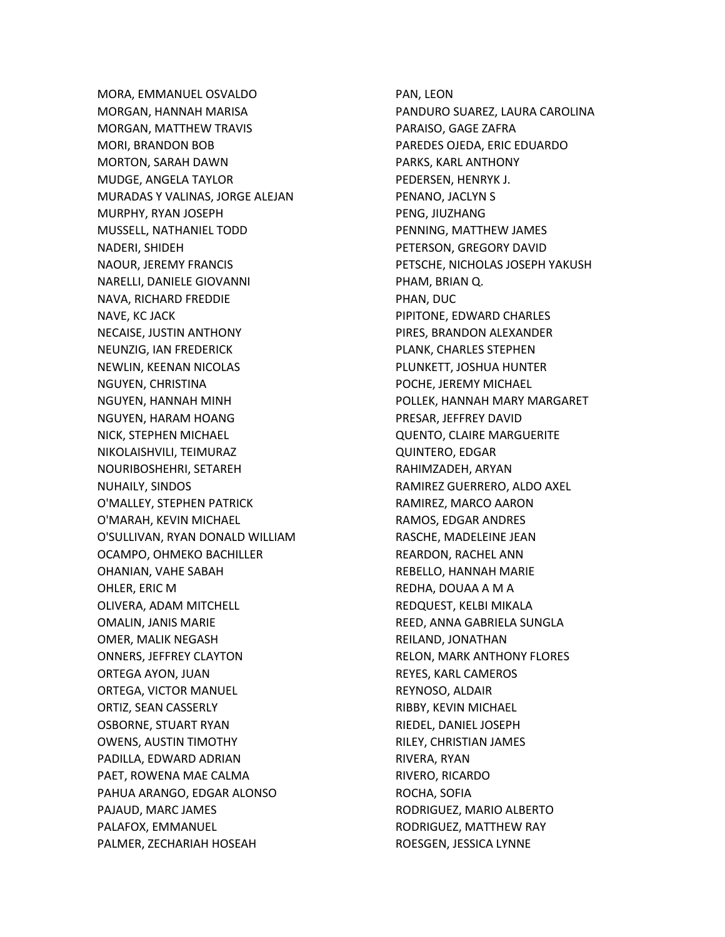MORA, EMMANUEL OSVALDO MORGAN, HANNAH MARISA MORGAN, MATTHEW TRAVIS MORI, BRANDON BOB MORTON, SARAH DAWN MUDGE, ANGELA TAYLOR MURADAS Y VALINAS, JORGE ALEJAN MURPHY, RYAN JOSEPH MUSSELL, NATHANIEL TODD NADERI, SHIDEH NAOUR, JEREMY FRANCIS NARELLI, DANIELE GIOVANNI NAVA, RICHARD FREDDIE NAVE, KC JACK NECAISE, JUSTIN ANTHONY NEUNZIG, IAN FREDERICK NEWLIN, KEENAN NICOLAS NGUYEN, CHRISTINA NGUYEN, HANNAH MINH NGUYEN, HARAM HOANG NICK, STEPHEN MICHAEL NIKOLAISHVILI, TEIMURAZ NOURIBOSHEHRI, SETAREH NUHAILY, SINDOS O'MALLEY, STEPHEN PATRICK O'MARAH, KEVIN MICHAEL O'SULLIVAN, RYAN DONALD WILLIAM OCAMPO, OHMEKO BACHILLER OHANIAN, VAHE SABAH OHLER, ERIC M OLIVERA, ADAM MITCHELL OMALIN, JANIS MARIE OMER, MALIK NEGASH ONNERS, JEFFREY CLAYTON ORTEGA AYON, JUAN ORTEGA, VICTOR MANUEL ORTIZ, SEAN CASSERLY OSBORNE, STUART RYAN OWENS, AUSTIN TIMOTHY PADILLA, EDWARD ADRIAN PAET, ROWENA MAE CALMA PAHUA ARANGO, EDGAR ALONSO PAJAUD, MARC JAMES PALAFOX, EMMANUEL PALMER, ZECHARIAH HOSEAH

PAN, LEON PANDURO SUAREZ, LAURA CAROLINA PARAISO, GAGE ZAFRA PAREDES OJEDA, ERIC EDUARDO PARKS, KARL ANTHONY PEDERSEN, HENRYK J. PENANO, JACLYN S PENG, JIUZHANG PENNING, MATTHEW JAMES PETERSON, GREGORY DAVID PETSCHE, NICHOLAS JOSEPH YAKUSH PHAM, BRIAN Q. PHAN, DUC PIPITONE, EDWARD CHARLES PIRES, BRANDON ALEXANDER PLANK, CHARLES STEPHEN PLUNKETT, JOSHUA HUNTER POCHE, JEREMY MICHAEL POLLEK, HANNAH MARY MARGARET PRESAR, JEFFREY DAVID QUENTO, CLAIRE MARGUERITE QUINTERO, EDGAR RAHIMZADEH, ARYAN RAMIREZ GUERRERO, ALDO AXEL RAMIREZ, MARCO AARON RAMOS, EDGAR ANDRES RASCHE, MADELEINE JEAN REARDON, RACHEL ANN REBELLO, HANNAH MARIE REDHA, DOUAA A M A REDQUEST, KELBI MIKALA REED, ANNA GABRIELA SUNGLA REILAND, JONATHAN RELON, MARK ANTHONY FLORES REYES, KARL CAMEROS REYNOSO, ALDAIR RIBBY, KEVIN MICHAEL RIEDEL, DANIEL JOSEPH RILEY, CHRISTIAN JAMES RIVERA, RYAN RIVERO, RICARDO ROCHA, SOFIA RODRIGUEZ, MARIO ALBERTO RODRIGUEZ, MATTHEW RAY ROESGEN, JESSICA LYNNE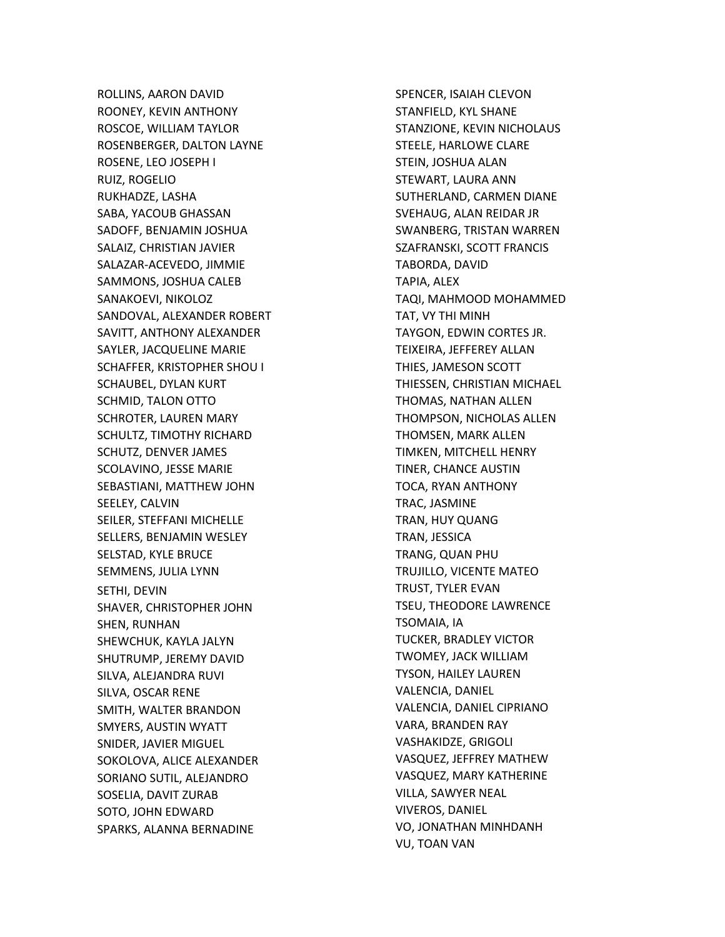ROLLINS, AARON DAVID ROONEY, KEVIN ANTHONY ROSCOE, WILLIAM TAYLOR ROSENBERGER, DALTON LAYNE ROSENE, LEO JOSEPH I RUIZ, ROGELIO RUKHADZE, LASHA SABA, YACOUB GHASSAN SADOFF, BENJAMIN JOSHUA SALAIZ, CHRISTIAN JAVIER SALAZAR-ACEVEDO, JIMMIE SAMMONS, JOSHUA CALEB SANAKOEVI, NIKOLOZ SANDOVAL, ALEXANDER ROBERT SAVITT, ANTHONY ALEXANDER SAYLER, JACQUELINE MARIE SCHAFFER, KRISTOPHER SHOU I SCHAUBEL, DYLAN KURT SCHMID, TALON OTTO SCHROTER, LAUREN MARY SCHULTZ, TIMOTHY RICHARD SCHUTZ, DENVER JAMES SCOLAVINO, JESSE MARIE SEBASTIANI, MATTHEW JOHN SEELEY, CALVIN SEILER, STEFFANI MICHELLE SELLERS, BENJAMIN WESLEY SELSTAD, KYLE BRUCE SEMMENS, JULIA LYNN SETHI, DEVIN SHAVER, CHRISTOPHER JOHN SHEN, RUNHAN SHEWCHUK, KAYLA JALYN SHUTRUMP, JEREMY DAVID SILVA, ALEJANDRA RUVI SILVA, OSCAR RENE SMITH, WALTER BRANDON SMYERS, AUSTIN WYATT SNIDER, JAVIER MIGUEL SOKOLOVA, ALICE ALEXANDER SORIANO SUTIL, ALEJANDRO SOSELIA, DAVIT ZURAB SOTO, JOHN EDWARD SPARKS, ALANNA BERNADINE

SPENCER, ISAIAH CLEVON STANFIELD, KYL SHANE STANZIONE, KEVIN NICHOLAUS STEELE, HARLOWE CLARE STEIN, JOSHUA ALAN STEWART, LAURA ANN SUTHERLAND, CARMEN DIANE SVEHAUG, ALAN REIDAR JR SWANBERG, TRISTAN WARREN SZAFRANSKI, SCOTT FRANCIS TABORDA, DAVID TAPIA, ALEX TAQI, MAHMOOD MOHAMMED TAT, VY THI MINH TAYGON, EDWIN CORTES JR. TEIXEIRA, JEFFEREY ALLAN THIES, JAMESON SCOTT THIESSEN, CHRISTIAN MICHAEL THOMAS, NATHAN ALLEN THOMPSON, NICHOLAS ALLEN THOMSEN, MARK ALLEN TIMKEN, MITCHELL HENRY TINER, CHANCE AUSTIN TOCA, RYAN ANTHONY TRAC, JASMINE TRAN, HUY QUANG TRAN, JESSICA TRANG, QUAN PHU TRUJILLO, VICENTE MATEO TRUST, TYLER EVAN TSEU, THEODORE LAWRENCE TSOMAIA, IA TUCKER, BRADLEY VICTOR TWOMEY, JACK WILLIAM TYSON, HAILEY LAUREN VALENCIA, DANIEL VALENCIA, DANIEL CIPRIANO VARA, BRANDEN RAY VASHAKIDZE, GRIGOLI VASQUEZ, JEFFREY MATHEW VASQUEZ, MARY KATHERINE VILLA, SAWYER NEAL VIVEROS, DANIEL VO, JONATHAN MINHDANH VU, TOAN VAN